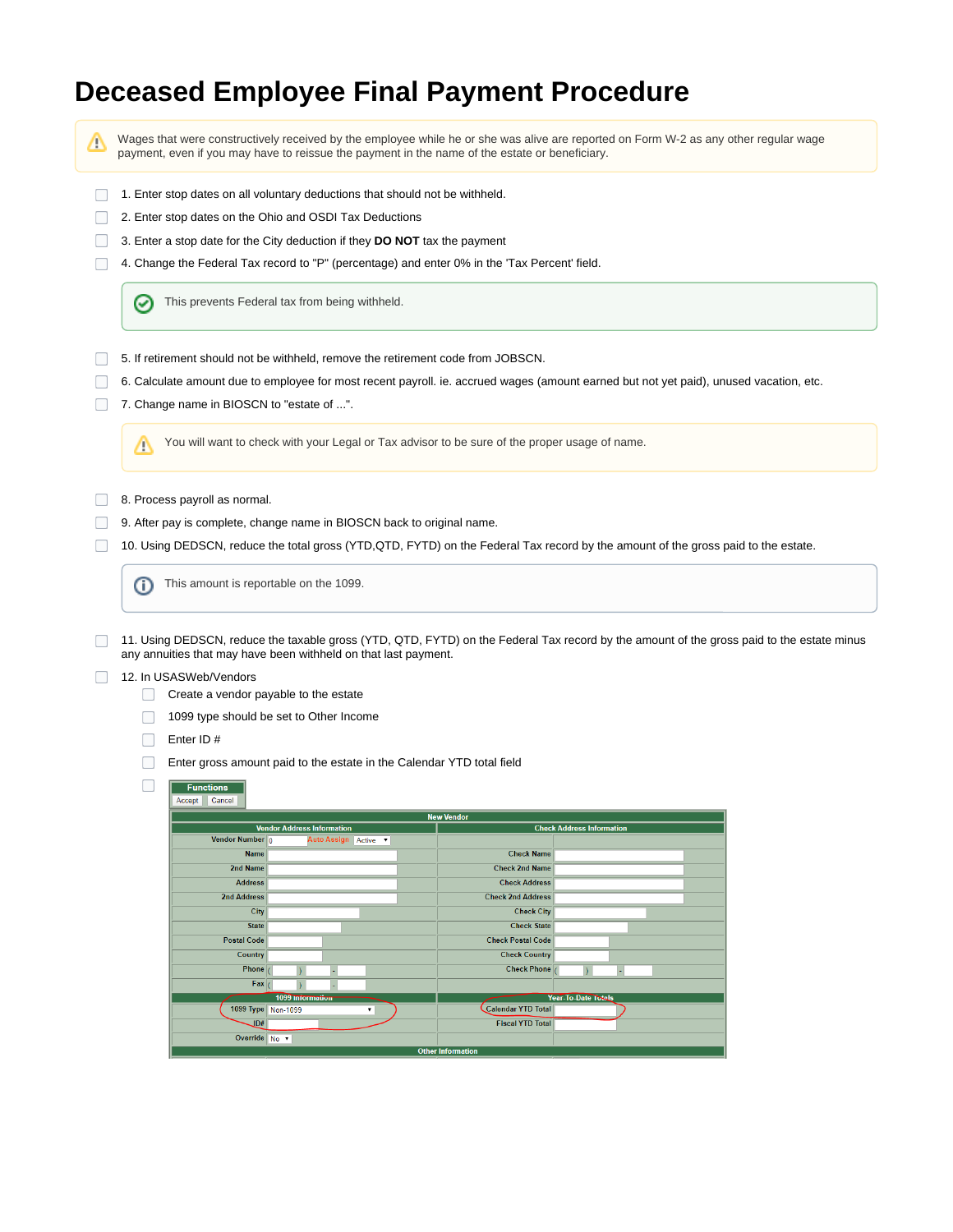## **Deceased Employee Final Payment Procedure**

Λ

Wages that were constructively received by the employee while he or she was alive are reported on Form W-2 as any other regular wage payment, even if you may have to reissue the payment in the name of the estate or beneficiary.

- 1. Enter stop dates on all voluntary deductions that should not be withheld.
- 2. Enter stop dates on the Ohio and OSDI Tax Deductions
- 3. Enter a stop date for the City deduction if they **DO NOT** tax the payment
- 4. Change the Federal Tax record to "P" (percentage) and enter 0% in the 'Tax Percent' field.

の This prevents Federal tax from being withheld.

- 5. If retirement should not be withheld, remove the retirement code from JOBSCN.
- 6. Calculate amount due to employee for most recent payroll. ie. accrued wages (amount earned but not yet paid), unused vacation, etc.
- 7. Change name in BIOSCN to "estate of ...".

You will want to check with your Legal or Tax advisor to be sure of the proper usage of name. Δ

- **8. Process payroll as normal.**
- 9. After pay is complete, change name in BIOSCN back to original name.
- 10. Using DEDSCN, reduce the total gross (YTD,QTD, FYTD) on the Federal Tax record by the amount of the gross paid to the estate.

This amount is reportable on the 1099.O)

11. Using DEDSCN, reduce the taxable gross (YTD, QTD, FYTD) on the Federal Tax record by the amount of the gross paid to the estate minus  $\Box$ any annuities that may have been withheld on that last payment.

## 12. In USASWeb/Vendors  $\Box$

- Create a vendor payable to the estate
- 1099 type should be set to Other Income
- □ Enter ID #

 $\Box$ 

 $\Box$ Enter gross amount paid to the estate in the Calendar YTD total field

## $\boxed{\phantom{1} \text{Functions}}$ Accept Cancel

| <b>New Vendor</b>                 |                      |                                  |  |
|-----------------------------------|----------------------|----------------------------------|--|
| <b>Vendor Address Information</b> |                      | <b>Check Address Information</b> |  |
| Vendor Number $\boxed{0}$         | Auto Assign Active v |                                  |  |
| <b>Name</b>                       |                      | <b>Check Name</b>                |  |
| 2nd Name                          |                      | <b>Check 2nd Name</b>            |  |
| <b>Address</b>                    |                      | <b>Check Address</b>             |  |
| 2nd Address                       |                      | <b>Check 2nd Address</b>         |  |
| City                              |                      | <b>Check City</b>                |  |
| <b>State</b>                      |                      | <b>Check State</b>               |  |
| <b>Postal Code</b>                |                      | <b>Check Postal Code</b>         |  |
| <b>Country</b>                    |                      | <b>Check Country</b>             |  |
| <b>Phone</b>                      |                      | <b>Check Phone</b>               |  |
| Fax                               |                      |                                  |  |
| 1099 Information                  |                      | <b>Year-To-Date Totals</b>       |  |
| 1099 Type   Non-1099              |                      | <b>Calendar YTD Total</b>        |  |
| JD#                               |                      | <b>Fiscal YTD Total</b>          |  |
| Override No v                     |                      |                                  |  |
| <b>Other Information</b>          |                      |                                  |  |